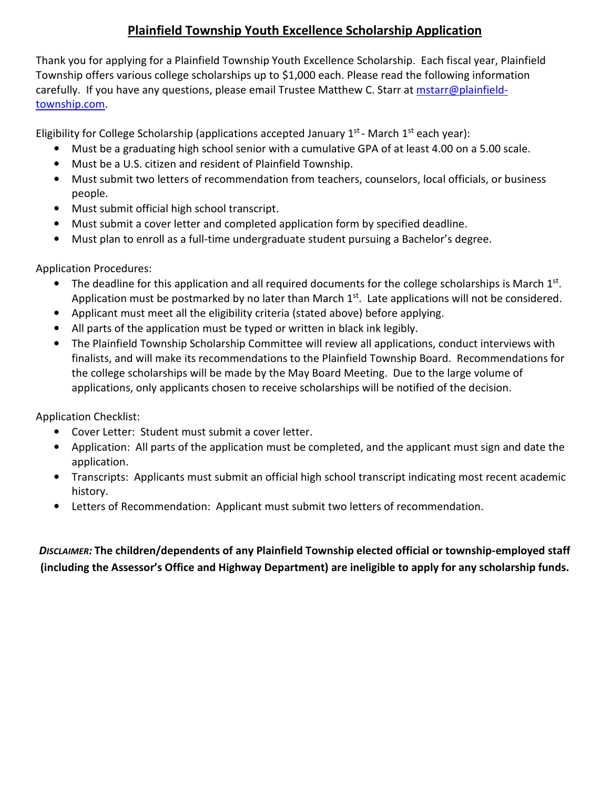## **Plainfield Township Youth Excellence Scholarship Application**

Thank you for applying for a Plainfield Township Youth Excellence Scholarship. Each fiscal year, Plainfield Township offers various college scholarships up to \$1,000 each. Please read the following information carefully. If you have any questions, please email Trustee Matthew C. Starr at mstarr@plainfieldtownship.com.

Eligibility for College Scholarship (applications accepted January  $1^{st}$  - March  $1^{st}$  each year):

- Must be a graduating high school senior with a cumulative GPA of at least 4.00 on a 5.00 scale.
- Must be a U.S. citizen and resident of Plainfield Township.
- Must submit two letters of recommendation from teachers, counselors, local officials, or business people.
- Must submit official high school transcript.
- Must submit a cover letter and completed application form by specified deadline.
- Must plan to enroll as a full-time undergraduate student pursuing a Bachelor's degree.

Application Procedures:

- The deadline for this application and all required documents for the college scholarships is March 1st. Application must be postmarked by no later than March  $1<sup>st</sup>$ . Late applications will not be considered.
- Applicant must meet all the eligibility criteria (stated above) before applying.
- All parts of the application must be typed or written in black ink legibly.
- The Plainfield Township Scholarship Committee will review all applications, conduct interviews with finalists, and will make its recommendations to the Plainfield Township Board. Recommendations for the college scholarships will be made by the May Board Meeting. Due to the large volume of applications, only applicants chosen to receive scholarships will be notified of the decision.

Application Checklist:

- Cover Letter: Student must submit a cover letter.
- Application: All parts of the application must be completed, and the applicant must sign and date the application.
- Transcripts: Applicants must submit an official high school transcript indicating most recent academic history.
- Letters of Recommendation: Applicant must submit two letters of recommendation.

*DISCLAIMER:* **The children/dependents of any Plainfield Township elected official or township-employed staff (including the Assessor's Office and Highway Department) are ineligible to apply for any scholarship funds.**